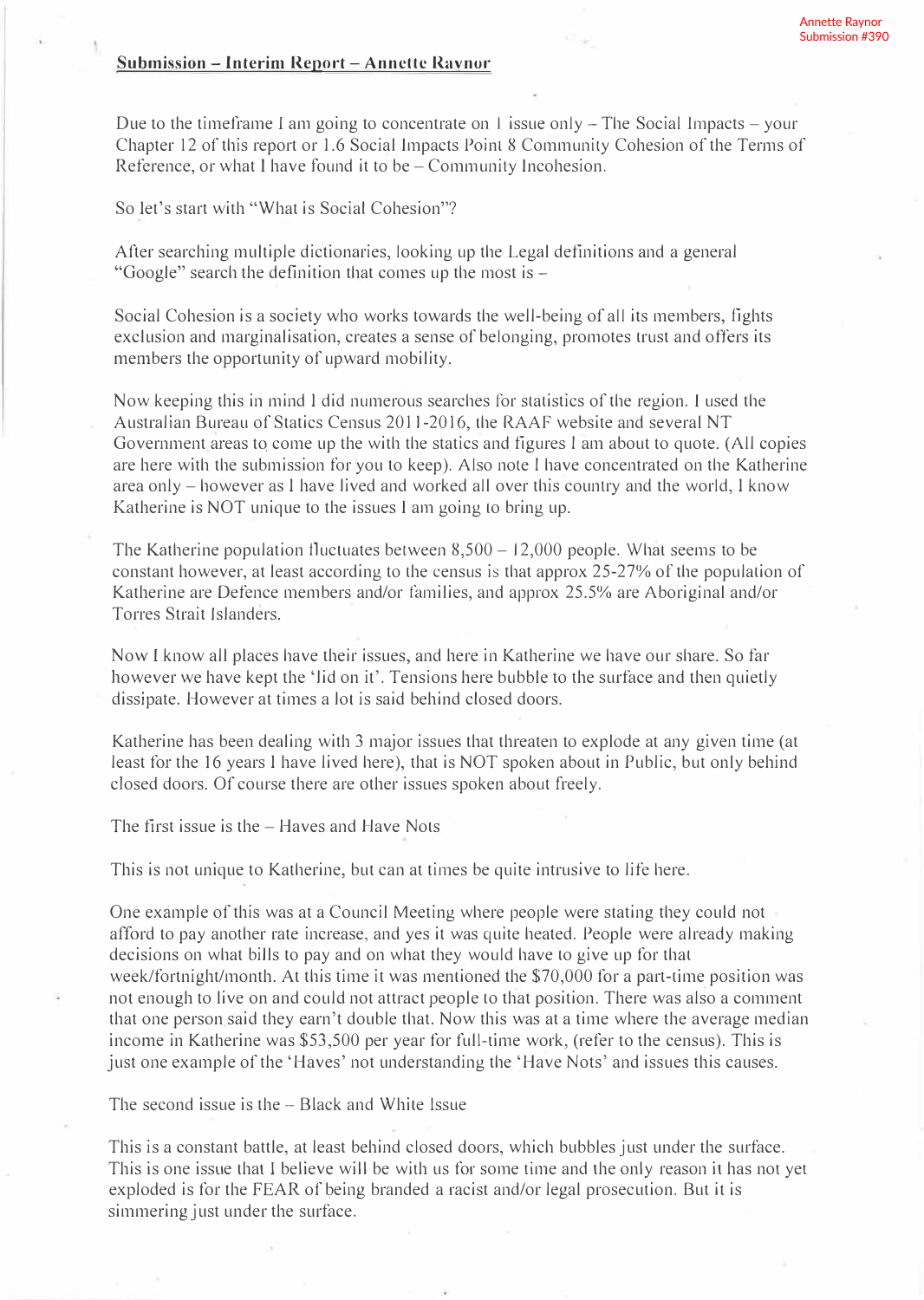#### **Submission - Interim Report - Annette Ravnor**

Due to the timeframe I am going to concentrate on 1 issue only  $-$  The Social Impacts  $-$  your Chapter 12 of this report or 1.6 Social Impacts Point 8 Community Cohesion of the Terms of Reference, or what I have found it to be – Community Incohesion.

So let's start with "What is Social Cohesion"?

After searching multiple dictionaries, looking up the Legal definitions and a general "Google" search the definition that comes up the most is -

Social Cohesion is a society who works towards the well-being of all its members, fights exclusion and marginalisation, creates a sense of belonging, promotes trust and offers its members the opportunity of upward mobility.

Now keeping this in mind l did numerous searches for statistics of the region. I used the Australian Bureau of Statics Census 2011-2016, the RAAF website and several NT Government areas to come up the with the statics and figures I am about to quote. (All copies are here with the submission for you to keep). Also note I have concentrated on the Katherine area only - however as l have lived and worked all over this country and the world, l know Katherine is NOT unique to the issues I am going lo bring up.

The Katherine population fluctuates between  $8,500 - 12,000$  people. What seems to be constant however, at least according to the census is that approx 25-27% of the population of Katherine are Defence members and/or families, and approx 25.5% are Aboriginal and/or Torres Strait Islanders.

Now I know all places have their issues, and here in Katherine we have our share. So far however we have kept the 'lid on it'. Tensions here bubble to the surface and then quietly dissipate. However at times a lot is said behind closed doors.

Katherine has been dealing with 3 major issues that threaten to explode at any given time (at least for the 16 years l have lived here), that is NOT spoken about in Public, but only behind closed doors. Of course there are other issues spoken about freely.

The first issue is the  $-$  Haves and Have Nots

This is not unique to Katherine, but can at times be quite intrusive to life here.

One example of this was at a Council Meeting where people were stating they could not afford to pay another rate increase, and yes it was quite heated. People were already making decisions on what bills to pay and on what they would have to give up for that week/fortnight/month. At this time it was mentioned the \$70,000 for a part-time position was not enough to live on and could not attract people to that position. There was also a comment that one person said they earn't double that. Now this was at a time where the average median income in Katherine was \$53,500 per year for full-time work, (refer to the census). This is just one example of the 'Haves' not understanding the 'Have Nots' and issues this causes.

The second issue is the  $-$  Black and White Issue

This is a constant battle, at least behind closed doors, which bubbles just under the surface. This is one issue that I believe will be with us for some time and the only reason it has not yet exploded is for the FEAR of being branded a racist and/or legal prosecution. But it is simmering just under the surface.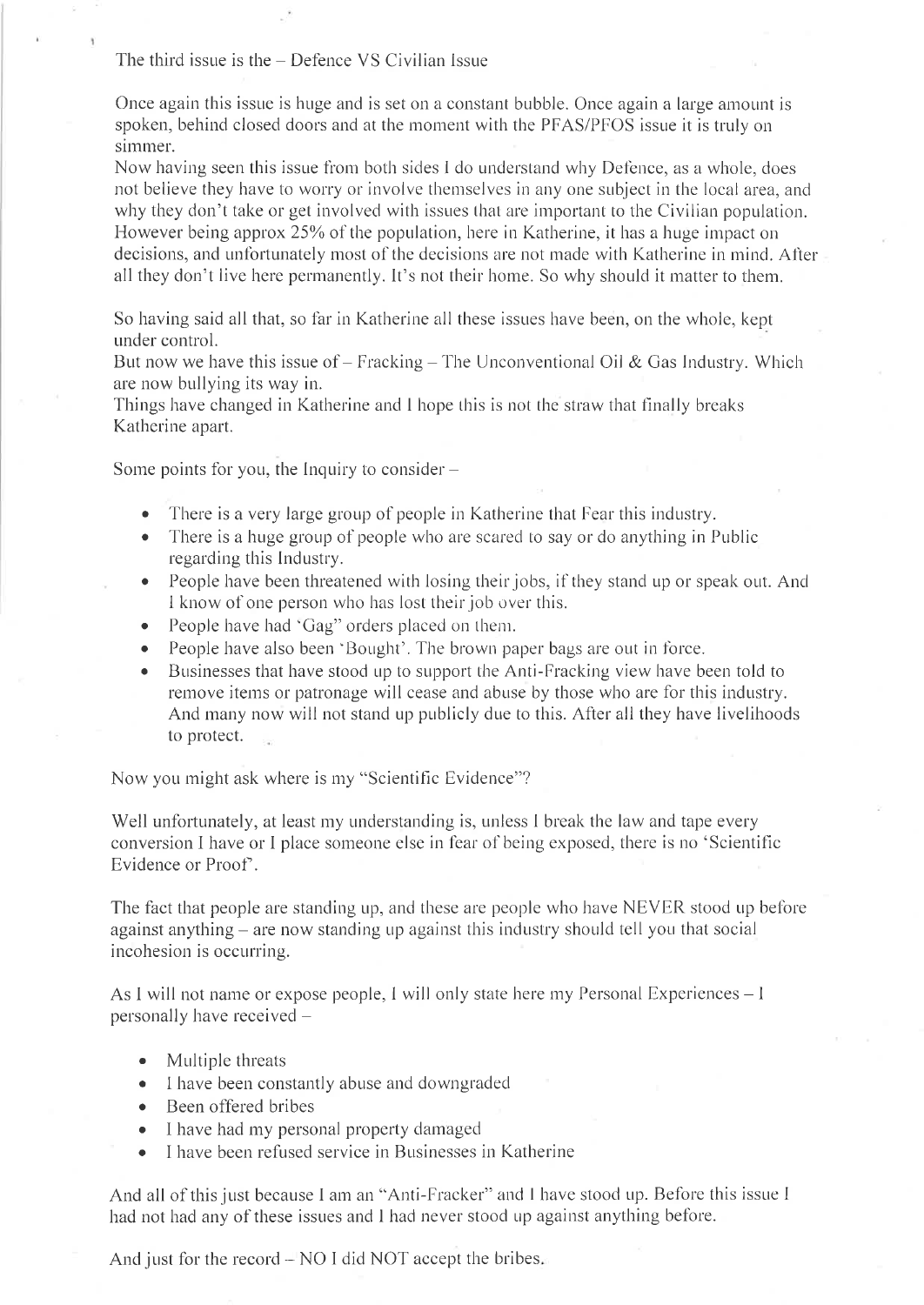The third issue is the  $-$  Defence VS Civilian Issue

Once again this issue is huge and is set on a constant bubble. Once again a large amount is spoken, behind closed doors and at the moment with the PFAS/PFOS issue it is truly on simmer

Now having seen this issue from both sides I do understand why Defence, as a whole, does not believe they have to worry or involve themselves in any one subject in the local area, and why they don't take or get involved with issues that are important to the Civilian population. However being approx 25% of the population, here in Katherine, it has a huge impact on decisions, and unfortunately most of the decisions are not made with Katherine in mind. After all they don't live here permanently. It's not their home. So why should it matter to them.

So having said all that, so far in Katherine all these issues have been, on the whole, kept under control.

But now we have this issue of  $-$  Fracking  $-$  The Unconventional Oil & Gas Industry. Which are now bullying its way in.

Things have changed in Katherine and I hope this is not the straw that finally breaks Katherine apart.

Some points for you, the Inquiry to consider  $-$ 

- There is a very large group of people in Katherine that Fear this industry.
- There is a huge group of people who are scared to say or do anything in Public regarding this Industry.
- People have been threatened with losing their jobs, if they stand up or speak out. And I know of one person who has lost their job over this.
- People have had 'Gag" orders placed on them.
- People have also been 'Bought'. The brown paper bags are out in force.
- Businesses that have stood up to support the Anti-Fracking view have been told to  $\bullet$ remove items or patronage will cease and abuse by those who are for this industry. And many now will not stand up publicly due to this. After all they have livelihoods to protect.

Now you might ask where is my "Scientific Evidence"?

Well unfortunately, at least my understanding is, unless I break the law and tape every conversion I have or I place someone else in fear of being exposed, there is no 'Scientific Evidence or Proof.

The fact that people are standing up, and these are people who have NEVER stood up before against anything – are now standing up against this industry should tell you that social incohesion is occurring.

As I will not name or expose people, I will only state here my Personal Experiences – I personally have received -

- Multiple threats
- I have been constantly abuse and downgraded
- Been offered bribes
- I have had my personal property damaged
- I have been refused service in Businesses in Katherine  $\bullet$

And all of this just because I am an "Anti-Fracker" and I have stood up. Before this issue I had not had any of these issues and I had never stood up against anything before.

And just for the record – NO I did NOT accept the bribes.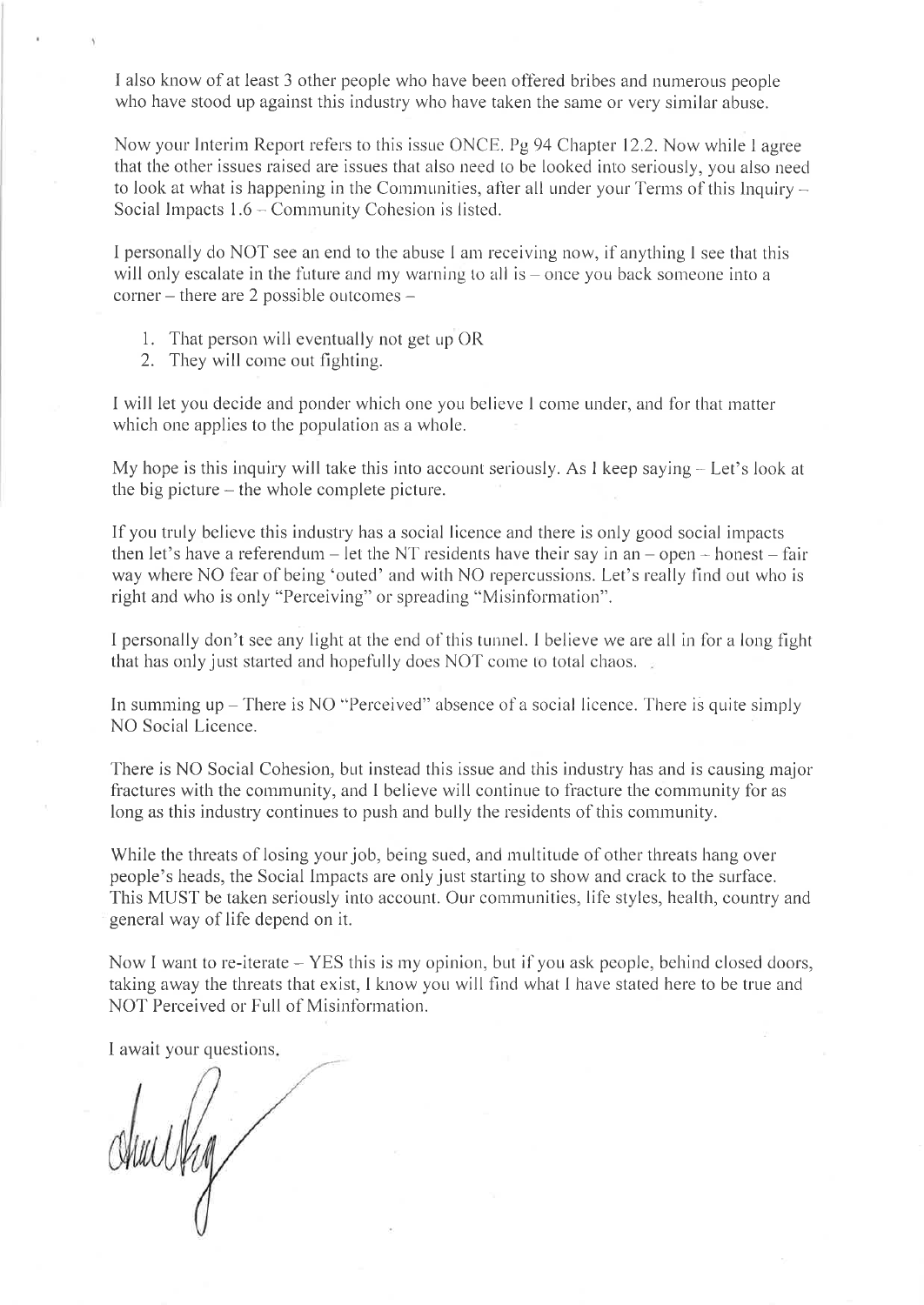I also know of at least 3 other people who have been offered bribes and numerous people who have stood up against this industry who have taken the same or very similar abuse.

Now your Interim Report refers to this issue ONCE. Pg 94 Chapter 12.2. Now while I agree that the other issues raised are issues that also need to be looked into seriously, you also need to look at what is happening in the Communities, after all under your Terms of this lnquiry  $-$ Social Impacts  $1.6 -$ Community Cohesion is listed.

I personally do NOT see an end to the abuse I am receiving now, if anything I see that this will only escalate in the future and my warning to all is  $-$  once you back someone into a corner – there are 2 possible outcomes –

- 1. That person will eventually not get up OR
- 2. They will come out fighting.

I will let you decide and ponder which one you believe I come under, and for that matter which one applies to the population as a whole.

My hope is this inquiry will take this into account seriously. As I keep saying  $-$  Let's look at the big picture  $-$  the whole complete picture.

If you truly believe this industry has a social licence and there is only good social impacts then let's have a referendum - let the NT residents have their say in an  $-$  open  $-$  honest  $-$  fair way where NO fear of being 'outed' and with NO repercussions. Let's really find out who is right and who is only "Perceiving" or spreading "Misinformation".

I personally don't see any light at the end of this tunnel. I believe we are all in for a long fight that has only just started and hopefully does NOT come to total chaos.

In summing up  $-$  There is NO "Perceived" absence of a social licence. There is quite simply NO Social Licence.

There is NO Social Cohesion, but instead this issue and this industry has and is causing major fractures with the community, and I believe will continue to fracture the community for as long as this industry continues to push and bully the residents of this community.

While the threats of losing your job, being sued, and multitude of other threats hang over people's heads, the Social Impacts are only just starting to show and crack to the surface. This MUST be taken seriously into account. Our communities, life styles, health, country and general way of life depend on it.

Now I want to re-iterate  $-$  YES this is my opinion, but if you ask people, behind closed doors, taking away the threats that exist, I know you will find what I have stated here to be true and NOT Perceived or Full of Misinformation.

I await your questions

Alue Urg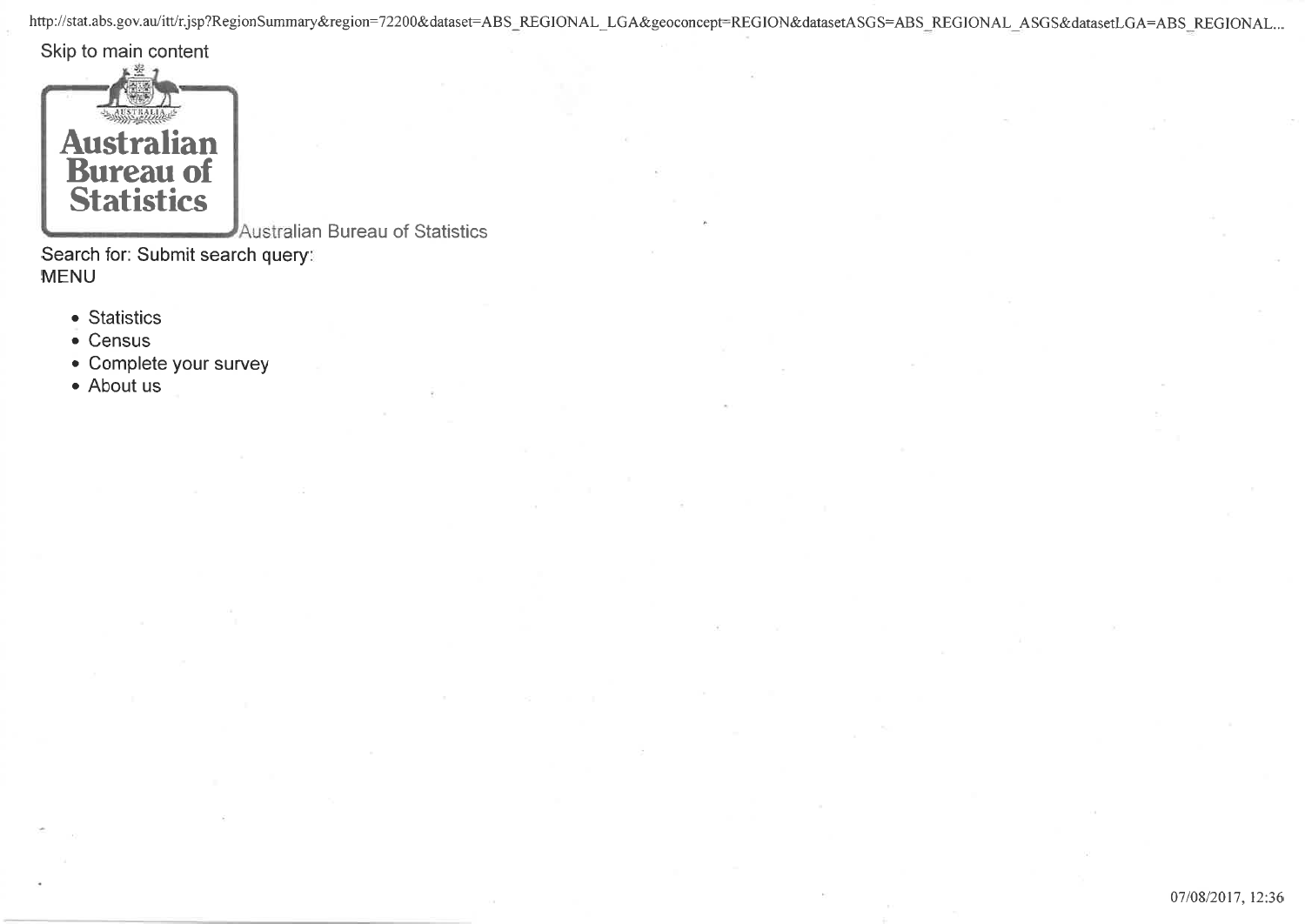http://stat.abs.gov.au/itt/r.jsp?RegionSummary&region=72200&dataset=ABS\_REGIONAL\_LGA&geoconcept=REGION&datasetASGS=ABS\_REGIONAL\_ASGS&datasetLGA=ABS\_REGIONAL...

Skip to main content



Australian Bureau of Statistics

Search for: Submit search query: MENU

- Statistics
- . Census
- . Complete your survey
- . About us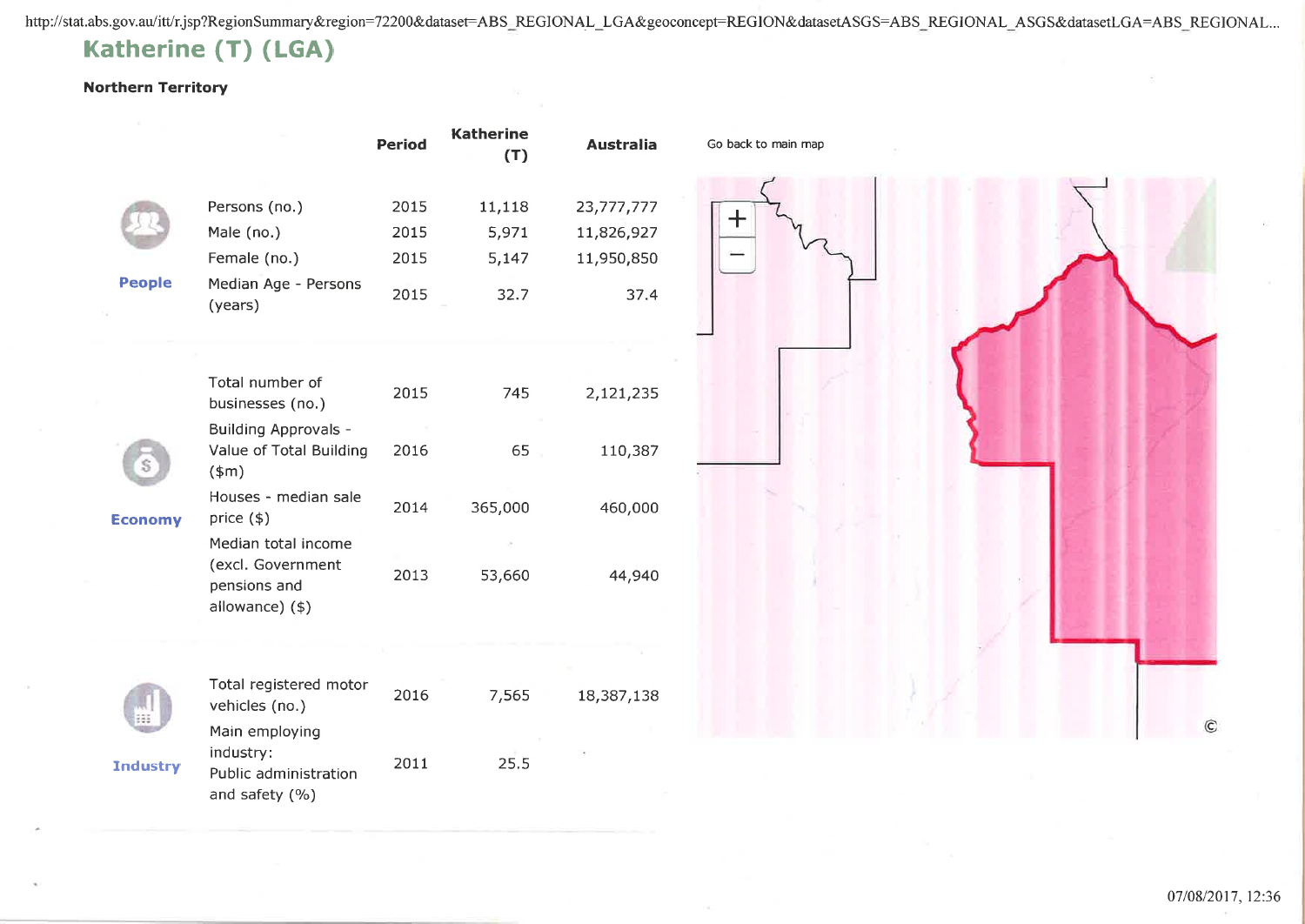http://stat.abs.gov.au/itt/r.jsp?RegionSummary&region=72200&dataset=ABS\_REGIONAL\_LGA&geoconcept=REGION&datasetASGS=ABS\_REGIONAL\_ASGS&datasetLGA=ABS\_REGIONAL...

## Katherine (T) (LGA)

#### Northern Territory

|                 |                                                      | <b>Period</b> | <b>Katherine</b><br>(T) | <b>Australia</b> | Go back to main map |
|-----------------|------------------------------------------------------|---------------|-------------------------|------------------|---------------------|
|                 | Persons (no.)                                        | 2015          | 11,118                  | 23,777,777       |                     |
|                 | Male (no.)                                           | 2015          | 5,971                   | 11,826,927       | ╈                   |
|                 | Female (no.)                                         | 2015          | 5,147                   | 11,950,850       |                     |
| People          | Median Age - Persons                                 |               |                         |                  |                     |
|                 | (years)                                              | 2015          | 32.7                    | 37.4             |                     |
|                 |                                                      |               |                         |                  |                     |
|                 | Total number of<br>businesses (no.)                  | 2015          | 745                     | 2,121,235        |                     |
|                 | <b>Building Approvals -</b>                          |               |                         |                  |                     |
|                 | Value of Total Building<br>$(*m)$                    | 2016          | 65                      | 110,387          |                     |
| <b>Economy</b>  | Houses - median sale<br>price $(*)$                  | 2014          | 365,000                 | 460,000          |                     |
|                 | Median total income                                  |               |                         |                  |                     |
|                 | (excl. Government<br>pensions and                    | 2013          | 53,660                  | 44,940           |                     |
|                 | allowance) (\$)                                      |               |                         |                  |                     |
|                 |                                                      |               |                         |                  |                     |
|                 | Total registered motor<br>vehicles (no.)             | 2016          | 7,565                   | 18,387,138       |                     |
|                 | Main employing                                       |               |                         |                  |                     |
| <b>Industry</b> | industry:<br>Public administration<br>and safety (%) | 2011          | 25.5                    |                  |                     |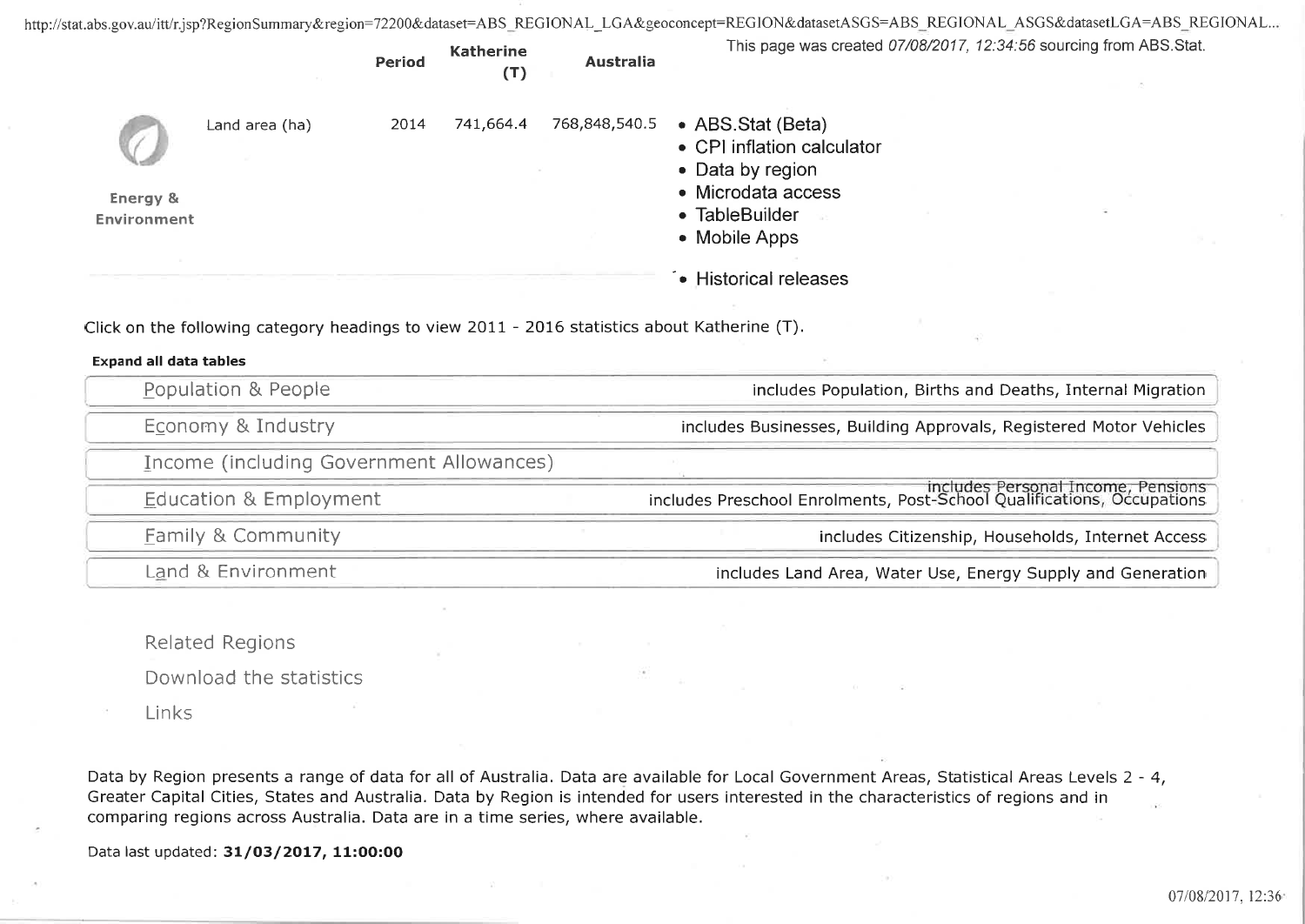http://stat.abs.gov.au/itt/r.jsp?RegionSummary&region=72200&dataset=ABS\_REGIONAL\_LGA&geoconcept=REGION&datasetASGS=ABS\_REGIONAL\_ASGS&datasetLGA=ABS\_REGIONAL...

|                                |                                                                                              | Period | <b>Katherine</b><br>(T) | <b>Australia</b> | This page was created 07/08/2017, 12:34:56 sourcing from ABS.Stat.                                           |
|--------------------------------|----------------------------------------------------------------------------------------------|--------|-------------------------|------------------|--------------------------------------------------------------------------------------------------------------|
|                                | Land area (ha)                                                                               | 2014   | 741,664.4               | 768,848,540.5    | • ABS.Stat (Beta)<br>• CPI inflation calculator<br>• Data by region                                          |
| Energy &<br><b>Environment</b> |                                                                                              |        |                         |                  | • Microdata access<br>• TableBuilder<br>• Mobile Apps                                                        |
|                                | Click on the following category headings to view 2011 - 2016 statistics about Katherine (T). |        |                         |                  | • Historical releases                                                                                        |
| <b>Expand all data tables</b>  |                                                                                              |        |                         |                  |                                                                                                              |
|                                | Population & People                                                                          |        |                         |                  | includes Population, Births and Deaths, Internal Migration                                                   |
|                                | Economy & Industry                                                                           |        |                         |                  | includes Businesses, Building Approvals, Registered Motor Vehicles                                           |
|                                | Income (including Government Allowances)                                                     |        |                         |                  |                                                                                                              |
|                                | <b>Education &amp; Employment</b>                                                            |        |                         |                  | includes Personal Income, Pensions<br>includes Preschool Enrolments, Post-School Qualifications, Occupations |
|                                |                                                                                              |        |                         |                  |                                                                                                              |
|                                | <b>Family &amp; Community</b>                                                                |        |                         |                  | includes Citizenship, Households, Internet Access                                                            |

Related Regions

Download the statistics

Links

Data by Region presents a range of data for all of Australia. Data are available for Local Government Areas, Statistical Areas Levels 2 - 4, Greater Capital Cities, States and Australia. Data by Region is intended for users interested in the characteristics of regions and in comparing regions across Australia. Data are in a time series, where available.

Data last updated: 31/03/2017, 11:00:00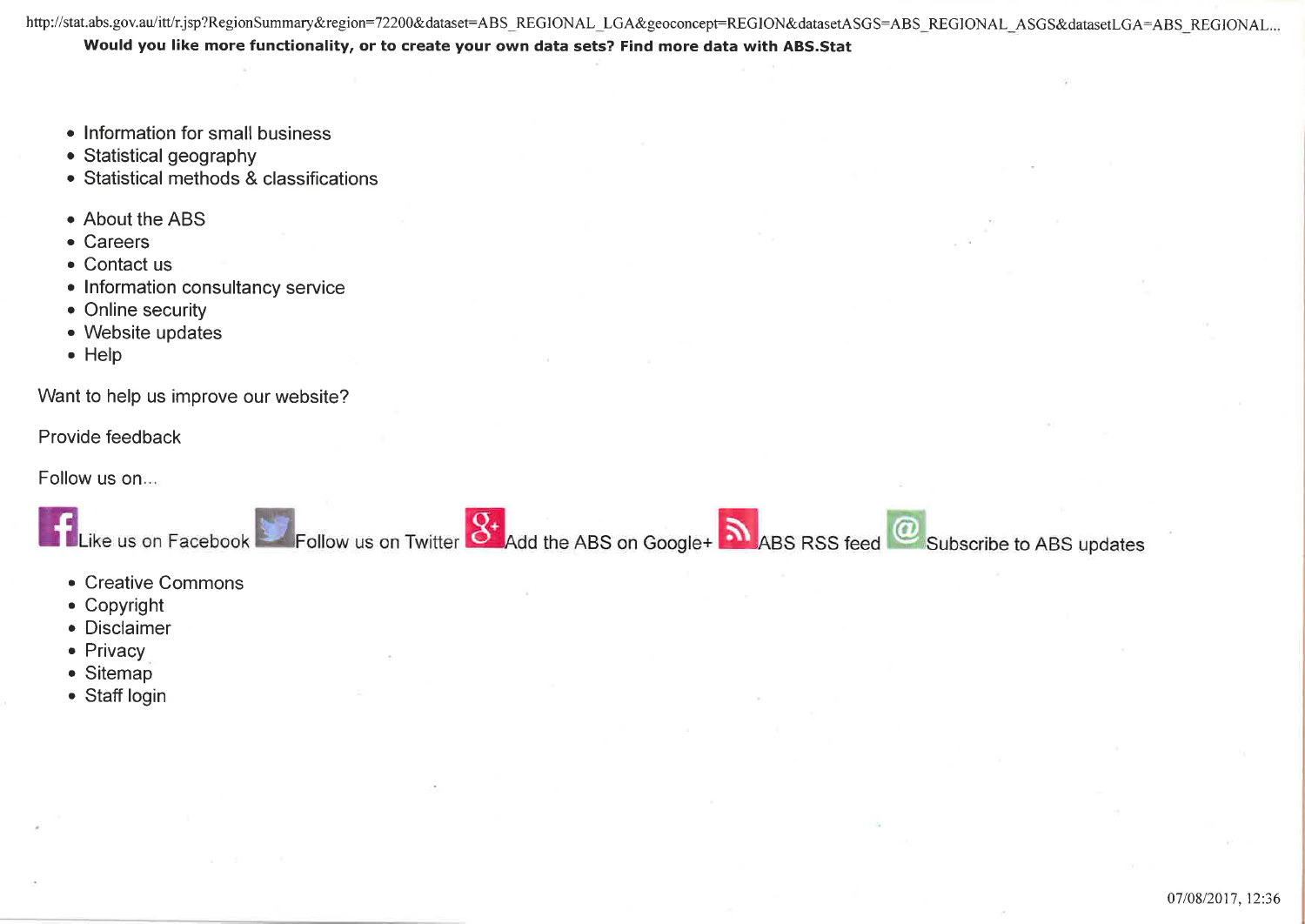http://stat.abs.gov.au/itt/r.jsp?RegionSummary&region=72200&dataset=ABS\_REGIONAL\_LGA&geoconcept=REGION&datasetASGS=ABS\_REGIONAL\_ASGS&datasetLGA=ABS\_REGIONAL... Would you like more functionality, or to create your own data sets? Find more data with ABS.Stat

- Information for small business
- $\bullet$  Statistical geography
- Statistical methods & classifications
- About the ABS
- . Careers
- $\bullet$  Contact us
- Information consultancy service
- Online security
- . Website updates
- . Help

Want to help us improve our website?

Provide feedback

Follow us on....



- . Creative Commons
- . Copyright
- . Disclaimer
- $\bullet$  Privacy
- $\bullet$  Sitemap
- Staff login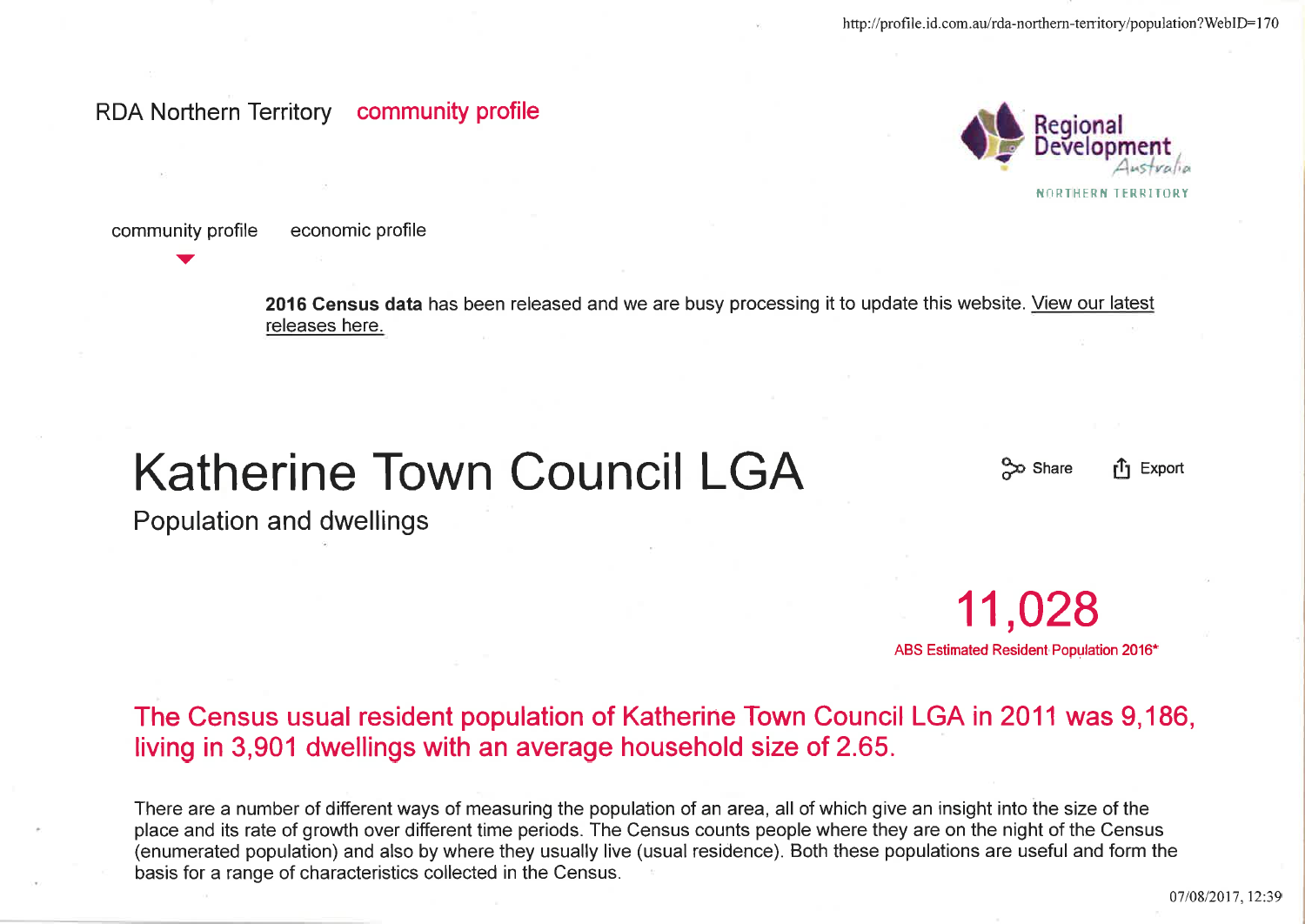## RDA Northern Territory community profile



community profile economic profile

v

2016 Census data has been released and we are busy processing it to update this website. View our latest releases here.

# Katherine Town Council LGA <sup>�� Share</sup> the Export

11 ,028

ABS Estimated Resident Population 2016\*

Population and dwellings

The Census usual resident population of Katherine Town Council LGA in 2011 was 9,186, living in 3,901 dwellings with an average household size of 2.65.

There are a number of different ways of measuring the population of an area, all of which give an insight into the size of the place and its rate of growth over different time periods. The Census counts people where they are on the night of the Census (enumerated population) and also by where they usually live (usual residence). Both these populations are useful and form the basis for a range of characteristics collected in the Census.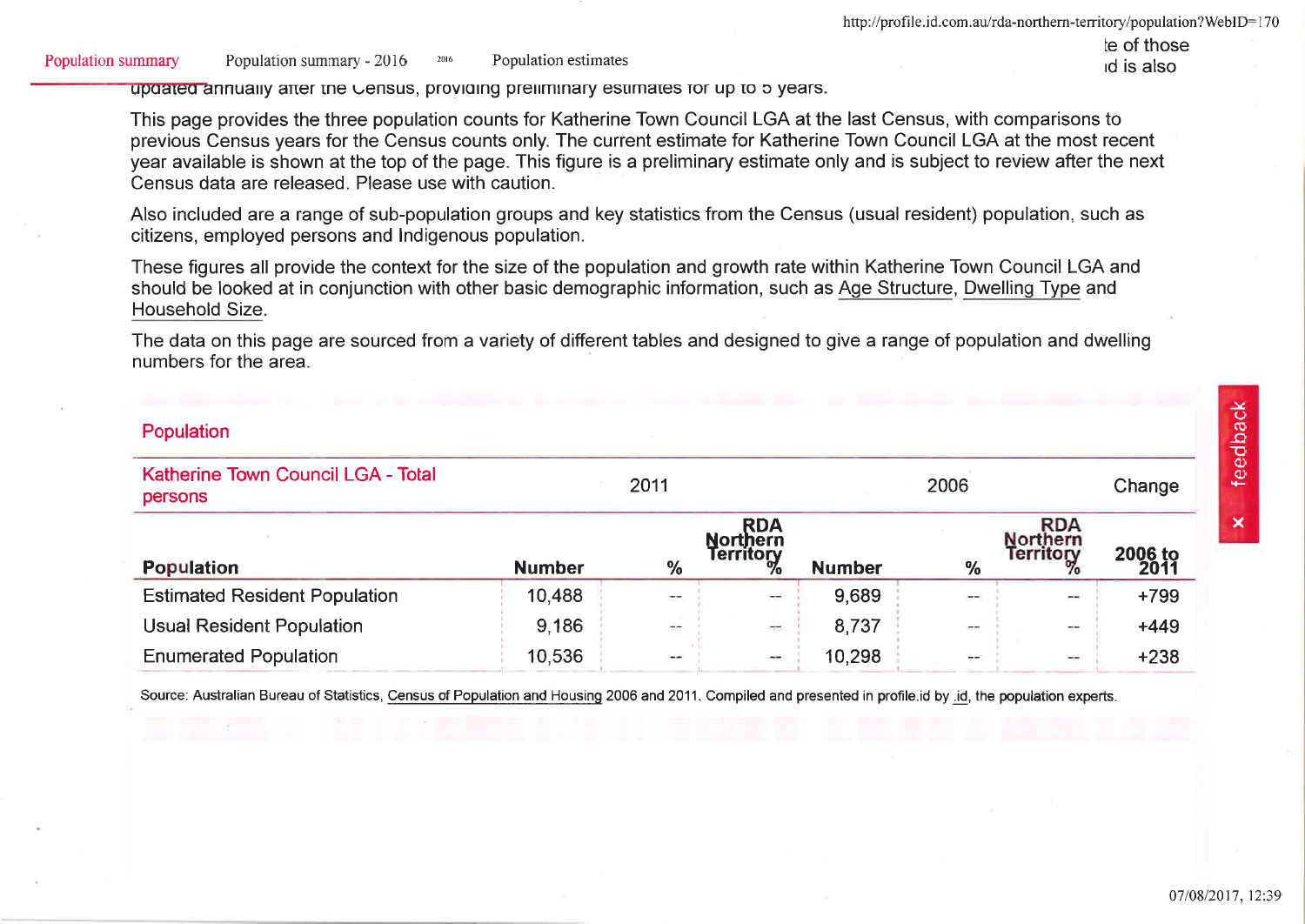Population summary Population summary - 2016 Population estimates 2016

le of those id is also

apaated annually after the Census, providing preliminary estimates for up to 5 years.

This page provides the three population counts for Katherine Town Council LGA at the last Census, with comparisons to previous Census vears for the Census counts only. The current estimate for Katherine Town Council LGA at the most recent year available is shown at the top of the page. This figure is a preliminary estimate only and is subject to review after the next Census data are released. Please use with caution.

Also included are a range of sub-population groups and key statistics from the Census (usual resident) population, such as citizens, employed persons and Indigenous population.

These figures all provide the context for the size of the population and growth rate within Katherine Town Council LGA and should be looked at in conjunction with other basic demographic information, such as Age Structure, Dwelling Type and Household Size.

The data on this page are sourced from a variety of different tables and designed to give a range of population and dwelling numbers for the area.

#### Population

| Katherine Town Council LGA - Total<br>persons | 2011          |                          |                                                   |               | Change                   |                                            |                 |
|-----------------------------------------------|---------------|--------------------------|---------------------------------------------------|---------------|--------------------------|--------------------------------------------|-----------------|
| <b>Population</b>                             | <b>Number</b> | $\%$                     | <b>RDA</b><br><b>Northern</b><br><b>Territory</b> | <b>Number</b> | $\frac{9}{6}$            | <b>RDA</b><br><b>Northern</b><br>Territory | 2006 to<br>2011 |
| <b>Estimated Resident Population</b>          | 10,488        | $\overline{\phantom{a}}$ | $-$                                               | 9,689         | $\cdots$                 | $\!-$                                      | $+799$          |
| <b>Usual Resident Population</b>              | 9.186         | $\overline{\phantom{a}}$ | $\sim$                                            | 8,737         | $\cdots$                 | $\overline{\phantom{m}}$                   | $+449$          |
| <b>Enumerated Population</b>                  | 10,536        | $\cdots$                 | $\longrightarrow$                                 | 10,298        | $\overline{\phantom{m}}$ | $\frac{1}{2}$                              | $+238$          |

Source: Australian Bureau of Statistics, Census of Population and Housing 2006 and 2011. Compiled and presented in profile id by .id, the population experts,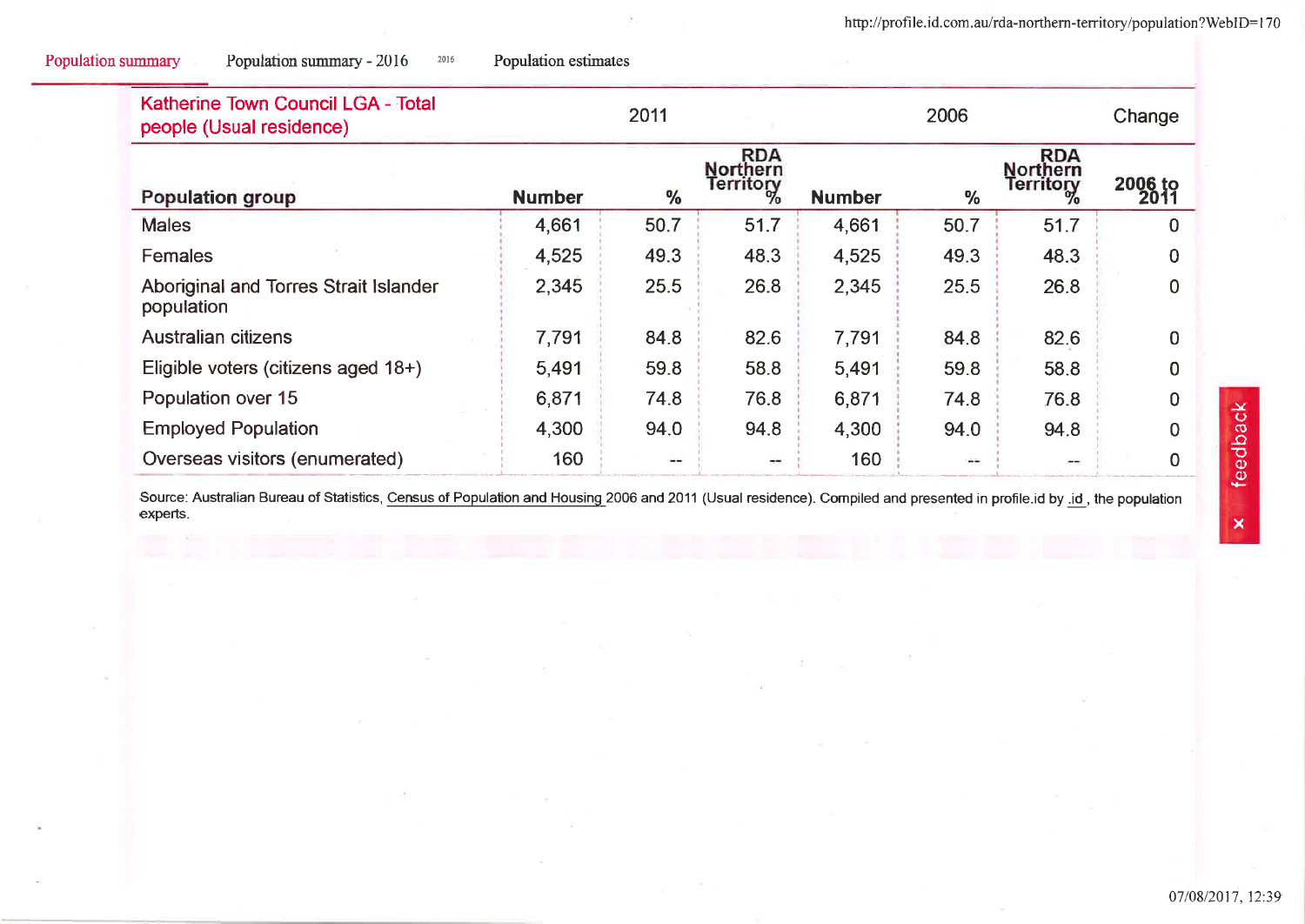| Katherine Town Council LGA - Total<br>people (Usual residence) |               | 2011 |                                   |               | 2006          |                              | Change                     |
|----------------------------------------------------------------|---------------|------|-----------------------------------|---------------|---------------|------------------------------|----------------------------|
| Population group                                               | <b>Number</b> | $\%$ | RDA<br>Northern<br>Territory<br>% | <b>Number</b> | $\frac{0}{0}$ | RDA<br>Northern<br>Territory | 2006 <sub>to</sub><br>2011 |
| <b>Males</b>                                                   | 4,661         | 50.7 | 51.7                              | 4,661         | 50.7          | 51.7                         | 0                          |
| <b>Females</b>                                                 | 4,525         | 49.3 | 48.3                              | 4,525         | 49.3          | 48.3                         | 0                          |
| Aboriginal and Torres Strait Islander<br>population            | 2,345         | 25.5 | 26.8                              | 2,345         | 25.5          | 26.8                         | <sup>0</sup>               |
| Australian citizens                                            | 7,791         | 84.8 | 82.6                              | 7,791         | 84.8          | 82.6                         | $\Omega$                   |
| Eligible voters (citizens aged 18+)                            | 5,491         | 59.8 | 58.8                              | 5,491         | 59.8          | 58.8                         | <sup>0</sup>               |
| Population over 15                                             | 6,871         | 74.8 | 76.8                              | 6,871         | 74.8          | 76.8                         | $\Omega$                   |
| <b>Employed Population</b>                                     | 4,300         | 94.0 | 94.8                              | 4,300         | 94.0          | 94.8                         | $\Omega$                   |
| Overseas visitors (enumerated)                                 | 160           |      |                                   | 160           | $- -$         | $\cdots$                     | $\Omega$                   |

Population estimates

2016

Population summary

Population summary - 2016

Source: Australian Bureau of Statistics, Census of Population and Housing 2006 and 2011 (Usual residence). Compiled and presented in profile.id by .id, the population experts.

07/08/2017, 12:39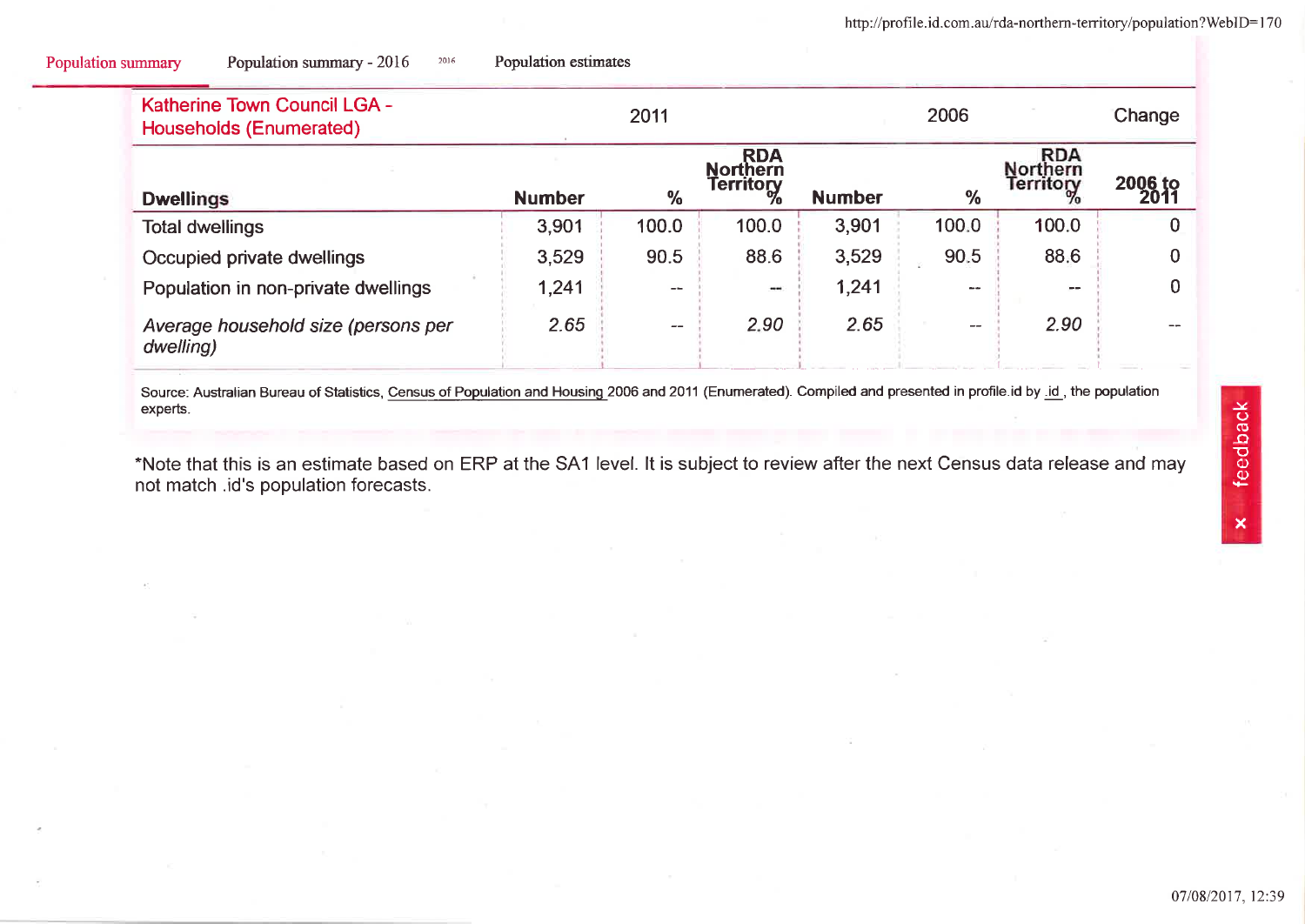| <b>Katherine Town Council LGA -</b><br><b>Households (Enumerated)</b> |               |                   | 2006                                        |               |                          | Change                                     |                 |
|-----------------------------------------------------------------------|---------------|-------------------|---------------------------------------------|---------------|--------------------------|--------------------------------------------|-----------------|
| <b>Dwellings</b>                                                      | <b>Number</b> | $\frac{9}{6}$     | RDA<br>Northern<br><b>Territory</b><br>$\%$ | <b>Number</b> | $\%$                     | <b>RDA</b><br><b>Northern</b><br>Territory | 2006 to<br>2011 |
| <b>Total dwellings</b>                                                | 3,901         | 100.0             | 100.0                                       | 3,901         | 100.0                    | 100.0                                      | 0               |
| Occupied private dwellings                                            | 3,529         | 90.5              | 88.6                                        | 3,529         | 90.5                     | 88.6                                       | 0               |
| Population in non-private dwellings                                   | 1,241         | $- -$             | $\frac{1}{2}$                               | 1,241         | $- -$                    | $\sim$                                     | $\bf{0}$        |
| Average household size (persons per<br>dwelling)                      | 2.65          | $\qquad \qquad -$ | 2.90                                        | 2.65          | $\overline{\phantom{m}}$ | 2.90                                       |                 |

20t6 Population estimates

Population summary Population summary - 2016

Source: Australian Bureau of Statistics, Census of Population and Housing 2006 and 2011 (Enumerated). Compiled and presented in profile.id by .id., the population experts.

"Note that this is an estímate based on ERP at the SA1 level. lt is subject to review after the next Census data refease and may not match .id's population forecasts.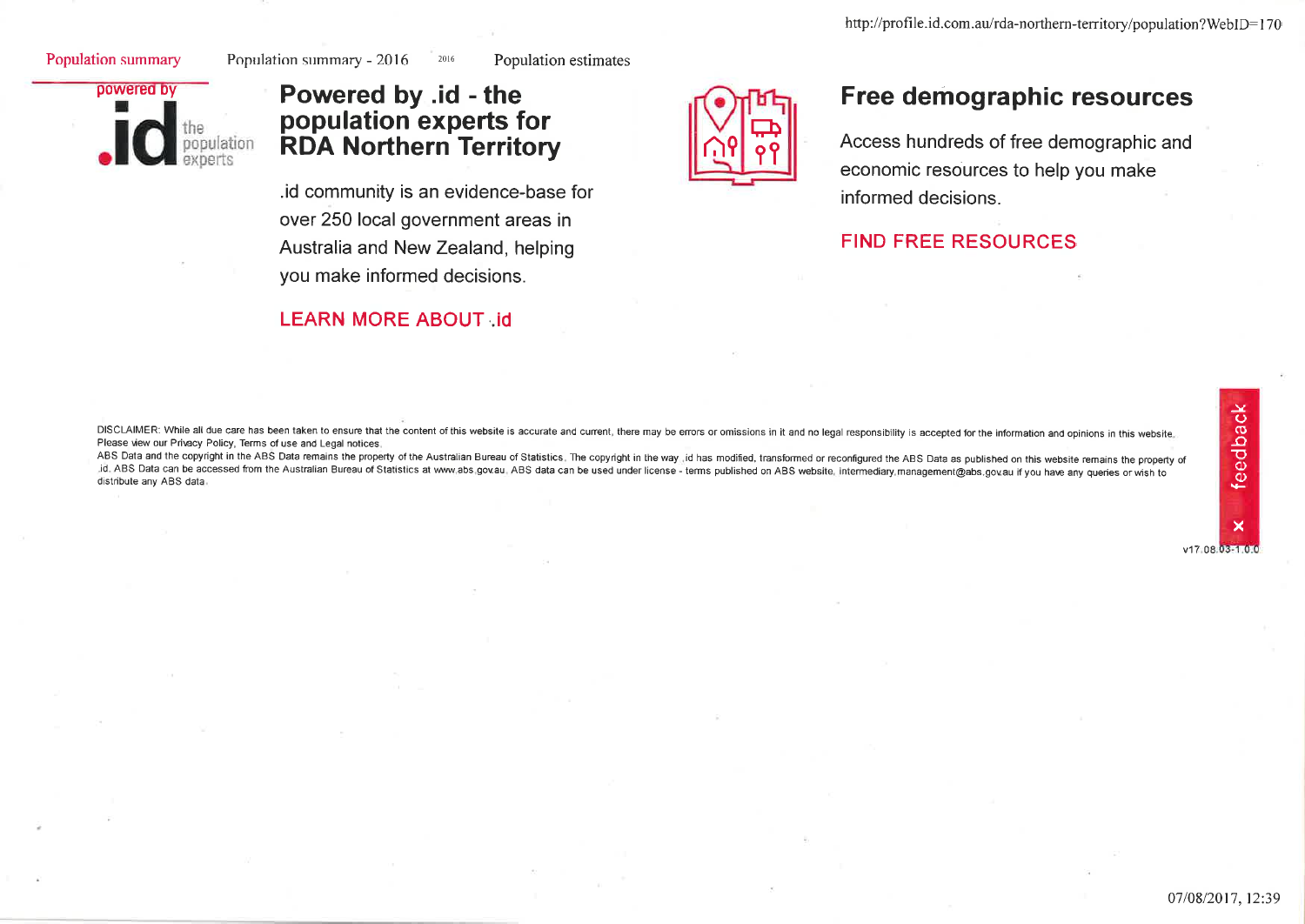#### Population summary

Population summary - 2016

Population estimates



## Powered by .id - the population experts for **RDA Northern Territory**

2016

.id community is an evidence-base for over 250 local government areas in Australia and New Zealand, helping you make informed decisions.

## **LEARN MORE ABOUT id**



## Free demographic resources

Access hundreds of free demographic and economic resources to help you make informed decisions.

## **FIND FREE RESOURCES**

DISCLAIMER: While all due care has been taken to ensure that the content of this website is accurate and current, there may be errors or omissions in it and no legal responsibility is accepted for the information and opini Please view our Privacy Policy, Terms of use and Legal notices.

ABS Data and the copyright in the ABS Data remains the property of the Australian Bureau of Statistics. The copyright in the way id has modified, transformed or reconfigured the ABS Data as published on this website remain id. ABS Data can be accessed from the Australian Bureau of Statistics at www.abs.gov.au. ABS data can be used under license - terms published on ABS website, intermediary management@abs.gov.au if you have any queries or wi distribute any ABS data.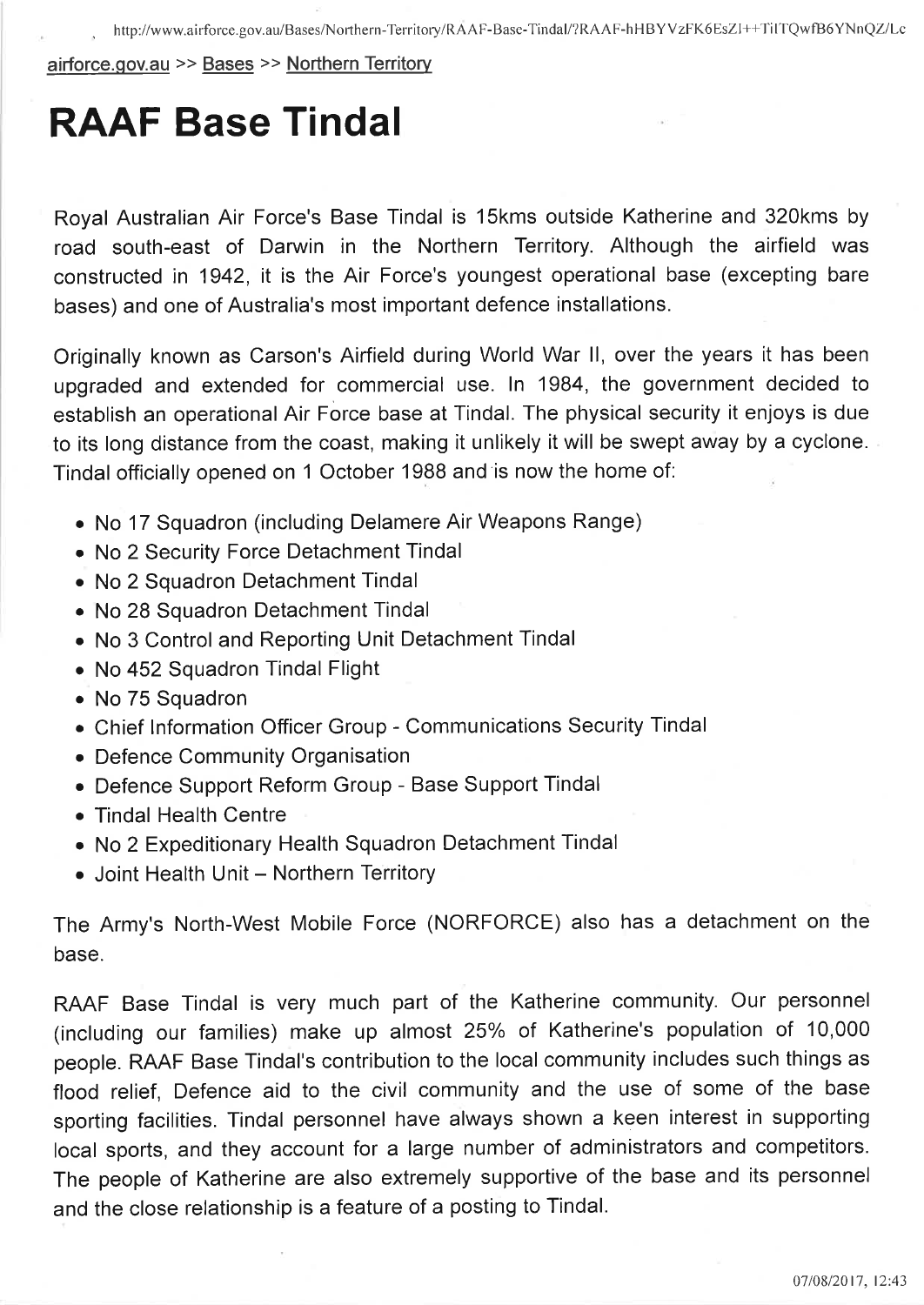airforce.qov.au >> Bases >> Northern Territory

## RAAF Base Tindal

Royal Australian Air Force's Base Tindal is 15kms outside Katherine and 320kms by road south-east of Darwin in the Northern Territory. Although the airfield was constructed in 1942, it is the Air Force's youngest operational base (excepting bare bases) and one of Australia's most important defence installations.

Originally known as Carson's Airfield during World War ll, over the years it has been upgraded and extended for commercial use. ln 1984, the government decided to establish an operational Air Force base at Tindal. The physical security it enjoys is due to its long distance from the coast, making it unlikely it will be swept away by a cyclone. Tindal officially opened on 1 October 1988 and is now the home of:

- No 17 Squadron (including Delamere Air Weapons Range)
- . No 2 Security Force Detachment Tindal
- . No 2 Squadron Detachment Tindal
- . No 28 Squadron Detachment Tindal
- . No 3 Control and Reporting Unit Detachment Tindal
- No 452 Squadron Tindal Flight
- . No 75 Squadron
- . Chief lnformation Officer Group Communications Security Tindal
- . Defence Community Organisation
- . Defence Support Reform Group Base Support Tindal
- . Tindal Health Centre
- . No 2 Expeditionary Health Squadron Detachment Tindal
- Joint Health Unit Northern Territory

The Army's North-West Mobile Force (NORFORCE) also has a detachment on the base.

RAAF Base Tindal is very much part of the Katherine community. Our personnel (including our families) make up almost 25% of Katherine's population of 10,000 people. RAAF Base Tindal's contribution to the local community includes such things as flood relief, Defence aid to the civil community and the use of some of the base sporting facilities. Tindal personnel have always shown a keen interest in supporting local sports, and they account for a large number of administrators and competitors. The people of Katherine are also extremely supportive of the base and its personnel and the close relationship is a feature of a posting to Tindal.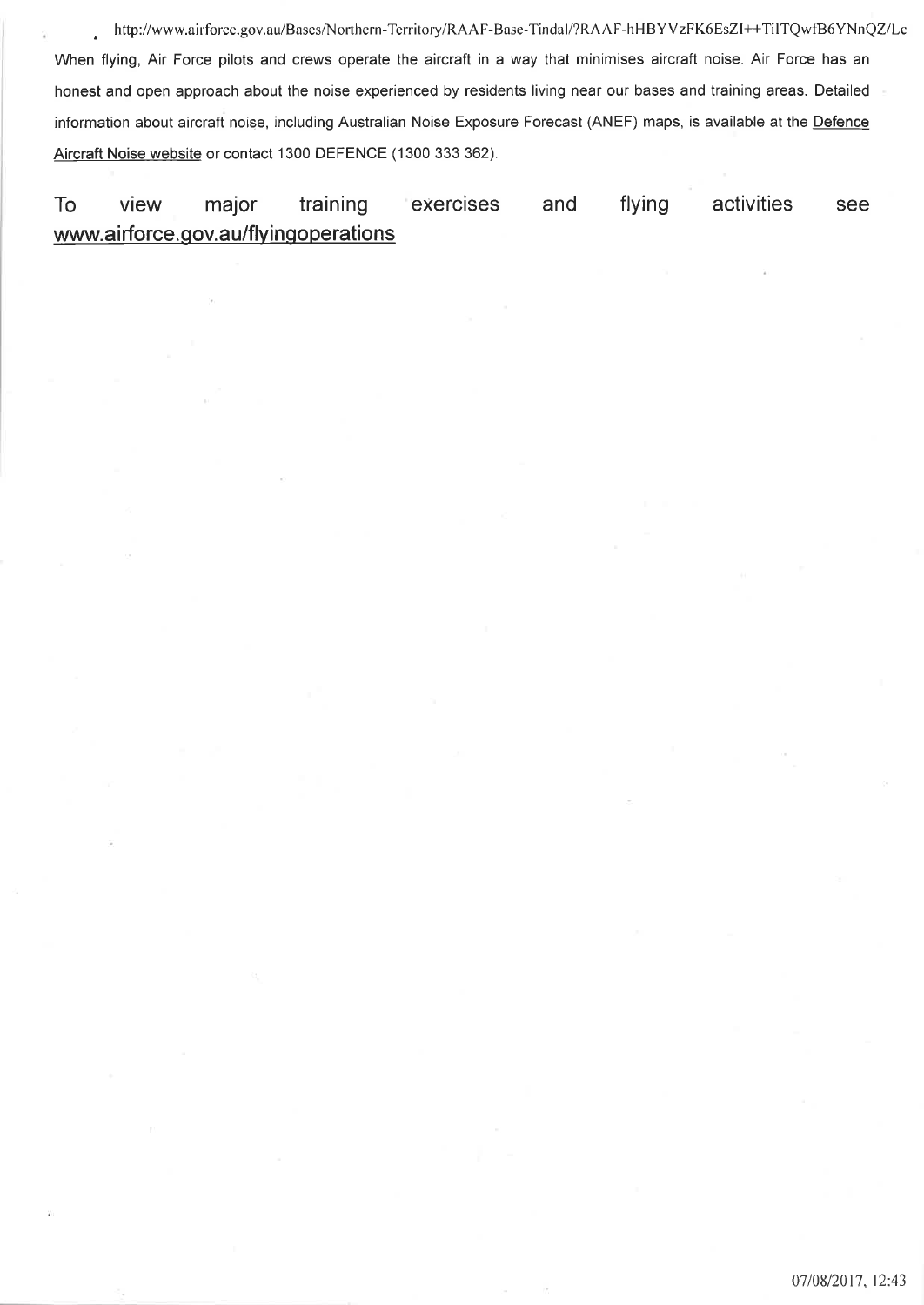, http://www.airforce.gov.au/Bases/Northern-Territory/RAAF-Base-Tindal/?RAAF-hHBYVzFK6EsZl++TilTQwfB6YNnQZ/Lc When flying, Air Force pilots and crews operate the aircraft in a way that minimises aircraft noise. Air Force has an honest and open approach about the noise experienced by residents living near our bases and training areas. Detailed information about aircraft noise, including Australian Noise Exposure Forecast (ANEF) maps, is available at the Defence Aircraft Noise website or contact 1300 DEFENCE (1300 333 362).

## To view major training exercises and flying activities see www.airforce.gov.au/flyingoperations